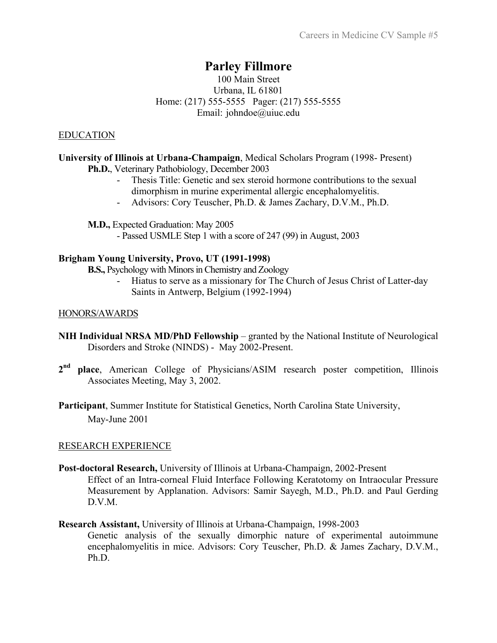# **Parley Fillmore**

# 100 Main Street Urbana, IL 61801 Home: (217) 555-5555 Pager: (217) 555-5555 Email: johndoe@uiuc.edu

# EDUCATION

## **University of Illinois at Urbana-Champaign**, Medical Scholars Program (1998- Present) **Ph.D.**, Veterinary Pathobiology, December 2003 Thesis Title: Genetic and sex steroid hormone contributions to the sexual dimorphism in murine experimental allergic encephalomyelitis.

- Advisors: Cory Teuscher, Ph.D. & James Zachary, D.V.M., Ph.D.

**M.D.,** Expected Graduation: May 2005

- Passed USMLE Step 1 with a score of 247 (99) in August, 2003

## **Brigham Young University, Provo, UT (1991-1998)**

**B.S.,** Psychology with Minors in Chemistry and Zoology

- Hiatus to serve as a missionary for The Church of Jesus Christ of Latter-day Saints in Antwerp, Belgium (1992-1994)

## HONORS/AWARDS

- **NIH Individual NRSA MD/PhD Fellowship** granted by the National Institute of Neurological Disorders and Stroke (NINDS) - May 2002-Present.
- **2nd place**, American College of Physicians/ASIM research poster competition, Illinois Associates Meeting, May 3, 2002.
- **Participant**, Summer Institute for Statistical Genetics, North Carolina State University, May-June 2001

## RESEARCH EXPERIENCE

- **Post-doctoral Research,** University of Illinois at Urbana-Champaign, 2002-Present Effect of an Intra-corneal Fluid Interface Following Keratotomy on Intraocular Pressure Measurement by Applanation. Advisors: Samir Sayegh, M.D., Ph.D. and Paul Gerding D.V.M.
- **Research Assistant,** University of Illinois at Urbana-Champaign, 1998-2003 Genetic analysis of the sexually dimorphic nature of experimental autoimmune encephalomyelitis in mice. Advisors: Cory Teuscher, Ph.D. & James Zachary, D.V.M., Ph.D.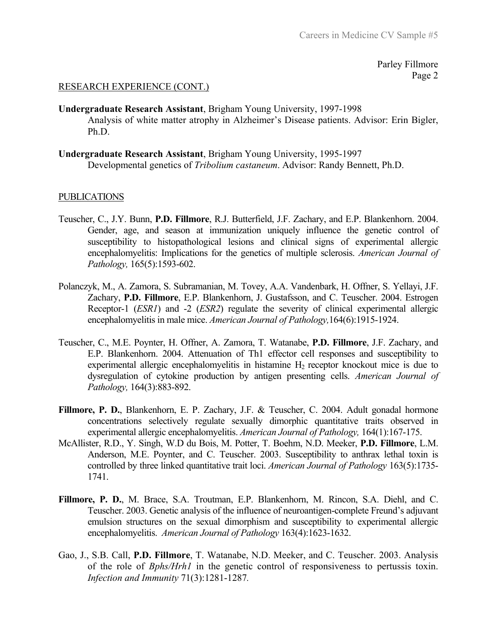Parley Fillmore Page 2

#### RESEARCH EXPERIENCE (CONT.)

#### **Undergraduate Research Assistant**, Brigham Young University, 1997-1998

Analysis of white matter atrophy in Alzheimer's Disease patients. Advisor: Erin Bigler, Ph.D.

**Undergraduate Research Assistant**, Brigham Young University, 1995-1997 Developmental genetics of *Tribolium castaneum*. Advisor: Randy Bennett, Ph.D.

#### PUBLICATIONS

- Teuscher, C., J.Y. Bunn, **P.D. Fillmore**, R.J. Butterfield, J.F. Zachary, and E.P. Blankenhorn. 2004. Gender, age, and season at immunization uniquely influence the genetic control of susceptibility to histopathological lesions and clinical signs of experimental allergic encephalomyelitis: Implications for the genetics of multiple sclerosis. *American Journal of Pathology,* 165(5):1593-602.
- Polanczyk, M., A. Zamora, S. Subramanian, M. Tovey, A.A. Vandenbark, H. Offner, S. Yellayi, J.F. Zachary, **P.D. Fillmore**, E.P. Blankenhorn, J. Gustafsson, and C. Teuscher. 2004. Estrogen Receptor-1 (*ESR1*) and -2 (*ESR2*) regulate the severity of clinical experimental allergic encephalomyelitis in male mice. *American Journal of Pathology,*164(6):1915-1924.
- Teuscher, C., M.E. Poynter, H. Offner, A. Zamora, T. Watanabe, **P.D. Fillmore**, J.F. Zachary, and E.P. Blankenhorn. 2004. Attenuation of Th1 effector cell responses and susceptibility to experimental allergic encephalomyelitis in histamine  $H_2$  receptor knockout mice is due to dysregulation of cytokine production by antigen presenting cells. *American Journal of Pathology,* 164(3):883-892.
- **Fillmore, P. D.**, Blankenhorn, E. P. Zachary, J.F. & Teuscher, C. 2004. Adult gonadal hormone concentrations selectively regulate sexually dimorphic quantitative traits observed in experimental allergic encephalomyelitis. *American Journal of Pathology,* 164(1):167-175.
- McAllister, R.D., Y. Singh, W.D du Bois, M. Potter, T. Boehm, N.D. Meeker, **P.D. Fillmore**, L.M. Anderson, M.E. Poynter, and C. Teuscher. 2003. Susceptibility to anthrax lethal toxin is controlled by three linked quantitative trait loci. *American Journal of Pathology* 163(5):1735- 1741.
- **Fillmore, P. D.**, M. Brace, S.A. Troutman, E.P. Blankenhorn, M. Rincon, S.A. Diehl, and C. Teuscher. 2003. Genetic analysis of the influence of neuroantigen-complete Freund's adjuvant emulsion structures on the sexual dimorphism and susceptibility to experimental allergic encephalomyelitis. *American Journal of Pathology* 163(4):1623-1632.
- Gao, J., S.B. Call, **P.D. Fillmore**, T. Watanabe, N.D. Meeker, and C. Teuscher. 2003. Analysis of the role of *Bphs/Hrh1* in the genetic control of responsiveness to pertussis toxin. *Infection and Immunity* 71(3):1281-1287*.*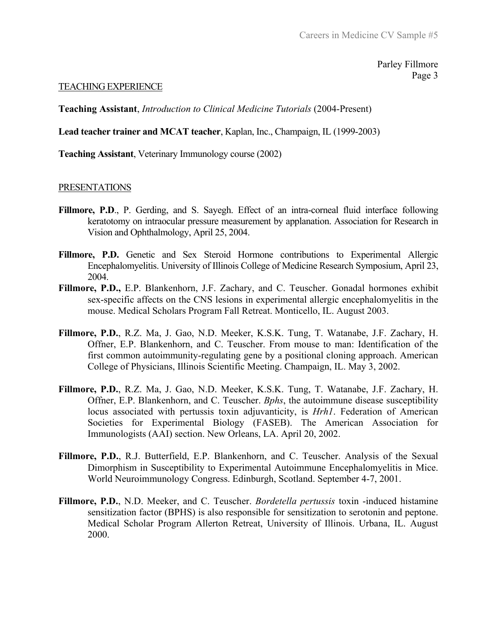Parley Fillmore Page 3

#### TEACHING EXPERIENCE

**Teaching Assistant**, *Introduction to Clinical Medicine Tutorials* (2004-Present)

**Lead teacher trainer and MCAT teacher**, Kaplan, Inc., Champaign, IL (1999-2003)

**Teaching Assistant**, Veterinary Immunology course (2002)

#### PRESENTATIONS

- Fillmore, P.D., P. Gerding, and S. Sayegh. Effect of an intra-corneal fluid interface following keratotomy on intraocular pressure measurement by applanation. Association for Research in Vision and Ophthalmology, April 25, 2004.
- Fillmore, P.D. Genetic and Sex Steroid Hormone contributions to Experimental Allergic Encephalomyelitis. University of Illinois College of Medicine Research Symposium, April 23, 2004.
- **Fillmore, P.D.,** E.P. Blankenhorn, J.F. Zachary, and C. Teuscher. Gonadal hormones exhibit sex-specific affects on the CNS lesions in experimental allergic encephalomyelitis in the mouse. Medical Scholars Program Fall Retreat. Monticello, IL. August 2003.
- **Fillmore, P.D.**, R.Z. Ma, J. Gao, N.D. Meeker, K.S.K. Tung, T. Watanabe, J.F. Zachary, H. Offner, E.P. Blankenhorn, and C. Teuscher. From mouse to man: Identification of the first common autoimmunity-regulating gene by a positional cloning approach. American College of Physicians, Illinois Scientific Meeting. Champaign, IL. May 3, 2002.
- **Fillmore, P.D.**, R.Z. Ma, J. Gao, N.D. Meeker, K.S.K. Tung, T. Watanabe, J.F. Zachary, H. Offner, E.P. Blankenhorn, and C. Teuscher. *Bphs*, the autoimmune disease susceptibility locus associated with pertussis toxin adjuvanticity, is *Hrh1*. Federation of American Societies for Experimental Biology (FASEB). The American Association for Immunologists (AAI) section. New Orleans, LA. April 20, 2002.
- **Fillmore, P.D.**, R.J. Butterfield, E.P. Blankenhorn, and C. Teuscher. Analysis of the Sexual Dimorphism in Susceptibility to Experimental Autoimmune Encephalomyelitis in Mice. World Neuroimmunology Congress. Edinburgh, Scotland. September 4-7, 2001.
- **Fillmore, P.D.**, N.D. Meeker, and C. Teuscher. *Bordetella pertussis* toxin -induced histamine sensitization factor (BPHS) is also responsible for sensitization to serotonin and peptone. Medical Scholar Program Allerton Retreat, University of Illinois. Urbana, IL. August 2000.